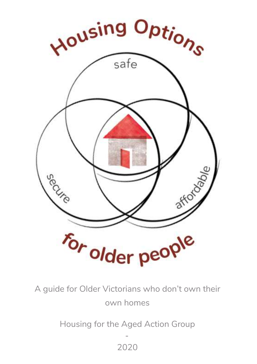

A guide for Older Victorians who don't own their own homes

Housing for the Aged Action Group

- 2020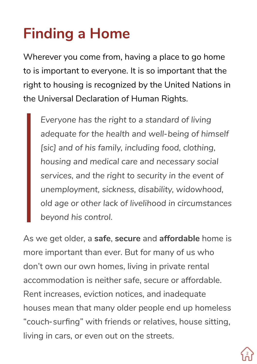# **Finding a Home**

Wherever you come from, having a place to go home to is important to everyone. It is so important that the right to housing is recognized by the United Nations in the Universal Declaration of Human Rights.

*Everyone has the right to a standard of living adequate for the health and well-being of himself [sic] and of his family, including food, clothing, housing and medical care and necessary social services, and the right to security in the event of unemployment, sickness, disability, widowhood, old age or other lack of livelihood in circumstances beyond his control.*

As we get older, a **safe**, **secure** and **affordable** home is more important than ever. But for many of us who don't own our own homes, living in private rental accommodation is neither safe, secure or affordable. Rent increases, eviction notices, and inadequate houses mean that many older people end up homeless "couch-surfing" with friends or relatives, house sitting, living in cars, or even out on the streets.

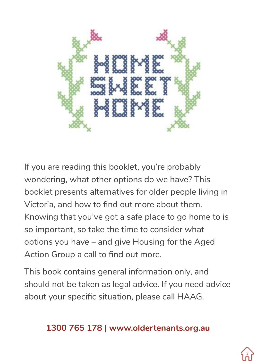

If you are reading this booklet, you're probably wondering, what other options do we have? This booklet presents alternatives for older people living in Victoria, and how to find out more about them. Knowing that you've got a safe place to go home to is so important, so take the time to consider what options you have – and give Housing for the Aged Action Group a call to find out more.

This book contains general information only, and should not be taken as legal advice. If you need advice about your specific situation, please call HAAG.

#### **1300 765 178 | www.oldertenants.org.au**

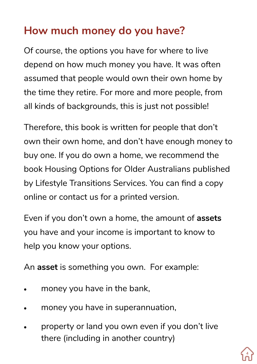#### **How much money do you have?**

Of course, the options you have for where to live depend on how much money you have. It was often assumed that people would own their own home by the time they retire. For more and more people, from all kinds of backgrounds, this is just not possible!

Therefore, this book is written for people that don't own their own home, and don't have enough money to buy one. If you do own a home, we recommend the book Housing Options for Older Australians published by Lifestyle Transitions Services. You can find a copy online or contact us for a printed version.

Even if you don't own a home, the amount of **assets**  you have and your income is important to know to help you know your options.

An **asset** is something you own. For example:

- money you have in the bank.
- money you have in superannuation,
- property or land you own even if you don't live there (including in another country)

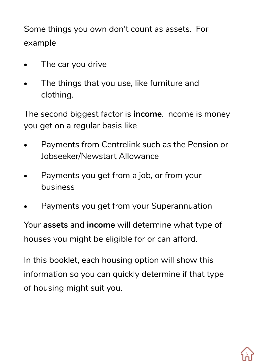Some things you own don't count as assets. For example

- The car you drive
- The things that you use, like furniture and clothing.

The second biggest factor is **income**. Income is money you get on a regular basis like

- Payments from Centrelink such as the Pension or Jobseeker/Newstart Allowance
- Payments you get from a job, or from your business
- Payments you get from your Superannuation

Your **assets** and **income** will determine what type of houses you might be eligible for or can afford.

In this booklet, each housing option will show this information so you can quickly determine if that type of housing might suit you.

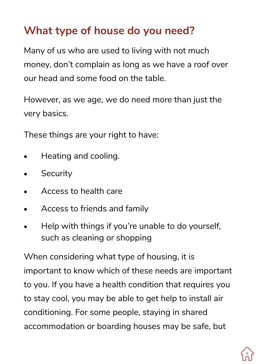#### **What type of house do you need?**

Many of us who are used to living with not much money, don't complain as long as we have a roof over our head and some food on the table.

However, as we age, we do need more than just the very basics.

These things are your right to have:

- Heating and cooling.
- Security
- Access to health care
- Access to friends and family
- Help with things if you're unable to do yourself, such as cleaning or shopping

When considering what type of housing, it is important to know which of these needs are important to you. If you have a health condition that requires you to stay cool, you may be able to get help to install air conditioning. For some people, staying in shared accommodation or boarding houses may be safe, but

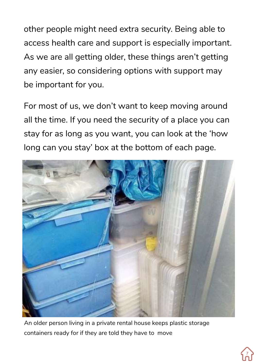other people might need extra security. Being able to access health care and support is especially important. As we are all getting older, these things aren't getting any easier, so considering options with support may be important for you.

For most of us, we don't want to keep moving around all the time. If you need the security of a place you can stay for as long as you want, you can look at the 'how long can you stay' box at the bottom of each page.



An older person living in a private rental house keeps plastic storage containers ready for if they are told they have to move

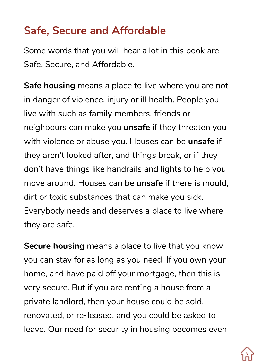#### **Safe, Secure and Affordable**

Some words that you will hear a lot in this book are Safe, Secure, and Affordable.

**Safe housing** means a place to live where you are not in danger of violence, injury or ill health. People you live with such as family members, friends or neighbours can make you **unsafe** if they threaten you with violence or abuse you. Houses can be **unsafe** if they aren't looked after, and things break, or if they don't have things like handrails and lights to help you move around. Houses can be **unsafe** if there is mould, dirt or toxic substances that can make you sick. Everybody needs and deserves a place to live where they are safe.

**Secure housing** means a place to live that you know you can stay for as long as you need. If you own your home, and have paid off your mortgage, then this is very secure. But if you are renting a house from a private landlord, then your house could be sold, renovated, or re-leased, and you could be asked to leave. Our need for security in housing becomes even

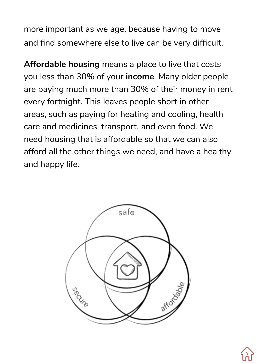more important as we age, because having to move and find somewhere else to live can be very difficult.

**Affordable housing** means a place to live that costs you less than 30% of your **income**. Many older people are paying much more than 30% of their money in rent every fortnight. This leaves people short in other areas, such as paying for heating and cooling, health care and medicines, transport, and even food. We need housing that is affordable so that we can also afford all the other things we need, and have a healthy and happy life.



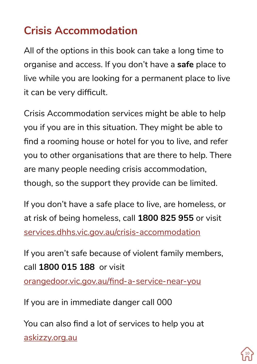# **Crisis Accommodation**

All of the options in this book can take a long time to organise and access. If you don't have a **safe** place to live while you are looking for a permanent place to live it can be very difficult.

Crisis Accommodation services might be able to help you if you are in this situation. They might be able to find a rooming house or hotel for you to live, and refer you to other organisations that are there to help. There are many people needing crisis accommodation, though, so the support they provide can be limited.

If you don't have a safe place to live, are homeless, or at risk of being homeless, call **1800 825 955** or visit services.dhhs.vic.gov.au/crisis-accommodation

If you aren't safe because of violent family members, call **1800 015 188** or visit orangedoor.vic.gov.au/find-a-service-near-you

If you are in immediate danger call 000

You can also find a lot of services to help you at askizzy.org.au

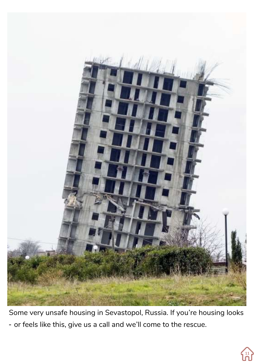

Some very unsafe housing in Sevastopol, Russia. If you're housing looks - or feels like this, give us a call and we'll come to the rescue.

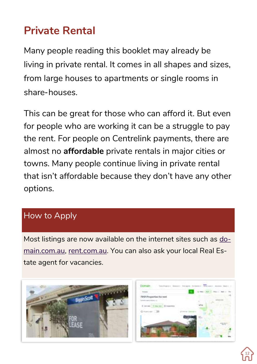#### **Private Rental**

Many people reading this booklet may already be living in private rental. It comes in all shapes and sizes, from large houses to apartments or single rooms in share-houses.

This can be great for those who can afford it. But even for people who are working it can be a struggle to pay the rent. For people on Centrelink payments, there are almost no **affordable** private rentals in major cities or towns. Many people continue living in private rental that isn't affordable because they don't have any other options.

#### How to Apply

Most listings are now available on the internet sites such as domain.com.au, rent.com.au. You can also ask your local Real Estate agent for vacancies.



Domain

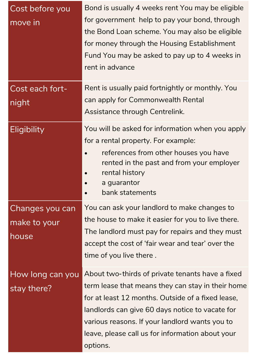| Cost before you<br>move in               | Bond is usually 4 weeks rent You may be eligible<br>for government help to pay your bond, through<br>the Bond Loan scheme. You may also be eligible<br>for money through the Housing Establishment<br>Fund You may be asked to pay up to 4 weeks in<br>rent in advance                                                          |
|------------------------------------------|---------------------------------------------------------------------------------------------------------------------------------------------------------------------------------------------------------------------------------------------------------------------------------------------------------------------------------|
| Cost each fort-<br>night                 | Rent is usually paid fortnightly or monthly. You<br>can apply for Commonwealth Rental<br>Assistance through Centrelink.                                                                                                                                                                                                         |
| Eligibility                              | You will be asked for information when you apply<br>for a rental property. For example:<br>references from other houses you have<br>rented in the past and from your employer<br>rental history<br>a guarantor<br>bank statements                                                                                               |
| Changes you can<br>make to your<br>house | You can ask your landlord to make changes to<br>the house to make it easier for you to live there.<br>The landlord must pay for repairs and they must<br>accept the cost of 'fair wear and tear' over the<br>time of you live there.                                                                                            |
| How long can you<br>stay there?          | About two-thirds of private tenants have a fixed<br>term lease that means they can stay in their home<br>for at least 12 months. Outside of a fixed lease,<br>landlords can give 60 days notice to vacate for<br>various reasons. If your landlord wants you to<br>leave, please call us for information about your<br>options. |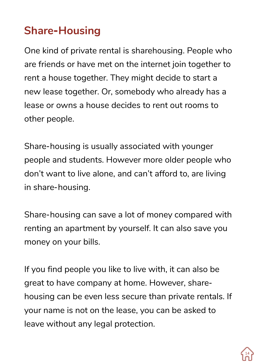## **Share-Housing**

One kind of private rental is sharehousing. People who are friends or have met on the internet join together to rent a house together. They might decide to start a new lease together. Or, somebody who already has a lease or owns a house decides to rent out rooms to other people.

Share-housing is usually associated with younger people and students. However more older people who don't want to live alone, and can't afford to, are living in share-housing.

Share-housing can save a lot of money compared with renting an apartment by yourself. It can also save you money on your bills.

If you find people you like to live with, it can also be great to have company at home. However, sharehousing can be even less secure than private rentals. If your name is not on the lease, you can be asked to leave without any legal protection.

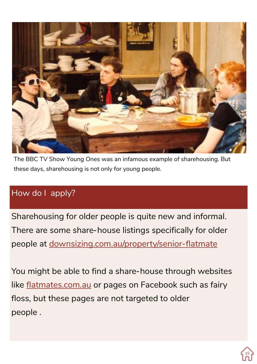

The BBC TV Show *Young Ones* was an infamous example of sharehousing. But these days, sharehousing is not only for young people.

#### How do I apply?

Sharehousing for older people is quite new and informal. There are some share-house listings specifically for older people at downsizing.com.au/property/senior-flatmate

You might be able to find a share-house through websites like flatmates.com.au or pages on Facebook such as fairy floss, but these pages are not targeted to older people .

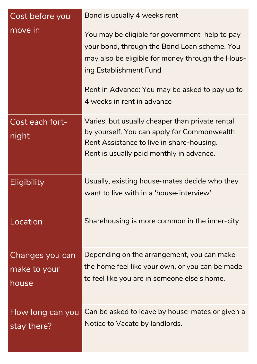| Cost before you                          | Bond is usually 4 weeks rent                                                                                                                                                                                                                                 |
|------------------------------------------|--------------------------------------------------------------------------------------------------------------------------------------------------------------------------------------------------------------------------------------------------------------|
| move in                                  | You may be eligible for government help to pay<br>your bond, through the Bond Loan scheme. You<br>may also be eligible for money through the Hous-<br>ing Establishment Fund<br>Rent in Advance: You may be asked to pay up to<br>4 weeks in rent in advance |
| Cost each fort-<br>night                 | Varies, but usually cheaper than private rental<br>by yourself. You can apply for Commonwealth<br>Rent Assistance to live in share-housing.<br>Rent is usually paid monthly in advance.                                                                      |
| Eligibility                              | Usually, existing house-mates decide who they<br>want to live with in a 'house-interview'.                                                                                                                                                                   |
| Location                                 | Sharehousing is more common in the inner-city                                                                                                                                                                                                                |
| Changes you can<br>make to your<br>house | Depending on the arrangement, you can make<br>the home feel like your own, or you can be made<br>to feel like you are in someone else's home.                                                                                                                |
| How long can you<br>stay there?          | Can be asked to leave by house-mates or given a<br>Notice to Vacate by landlords.                                                                                                                                                                            |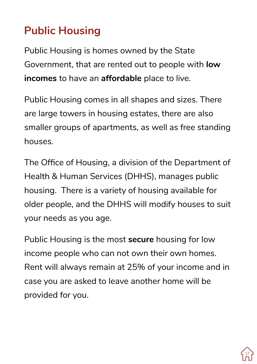# **Public Housing**

Public Housing is homes owned by the State Government, that are rented out to people with **low incomes** to have an **affordable** place to live.

Public Housing comes in all shapes and sizes. There are large towers in housing estates, there are also smaller groups of apartments, as well as free standing houses.

The Office of Housing, a division of the Department of Health & Human Services (DHHS), manages public housing. There is a variety of housing available for older people, and the DHHS will modify houses to suit your needs as you age.

Public Housing is the most **secure** housing for low income people who can not own their own homes. Rent will always remain at 25% of your income and in case you are asked to leave another home will be provided for you.

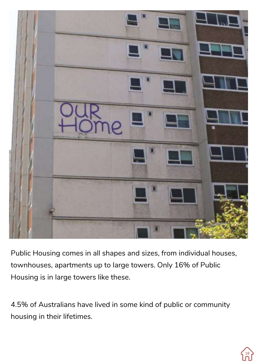

Public Housing comes in all shapes and sizes, from individual houses, townhouses, apartments up to large towers. Only 16% of Public Housing is in large towers like these.

4.5% of Australians have lived in some kind of public or community housing in their lifetimes.

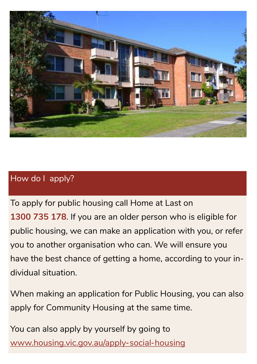

#### How do I apply?

To apply for public housing call Home at Last on **1300 735 178**. If you are an older person who is eligible for public housing, we can make an application with you, or refer you to another organisation who can. We will ensure you have the best chance of getting a home, according to your individual situation.

When making an application for Public Housing, you can also apply for Community Housing at the same time.

You can also apply by yourself by going to www.housing.vic.gov.au/apply-social-housing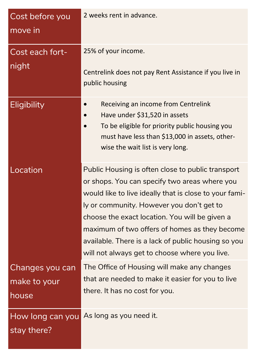| Cost before you<br>move in               | 2 weeks rent in advance.                                                                                                                                                                                                                                                                                                                                                                                             |
|------------------------------------------|----------------------------------------------------------------------------------------------------------------------------------------------------------------------------------------------------------------------------------------------------------------------------------------------------------------------------------------------------------------------------------------------------------------------|
| Cost each fort-<br>night                 | 25% of your income.<br>Centrelink does not pay Rent Assistance if you live in<br>public housing                                                                                                                                                                                                                                                                                                                      |
| Eligibility                              | Receiving an income from Centrelink<br>Have under \$31,520 in assets<br>To be eligible for priority public housing you<br>must have less than \$13,000 in assets, other-<br>wise the wait list is very long.                                                                                                                                                                                                         |
| Location                                 | Public Housing is often close to public transport<br>or shops. You can specify two areas where you<br>would like to live ideally that is close to your fami-<br>ly or community. However you don't get to<br>choose the exact location. You will be given a<br>maximum of two offers of homes as they become<br>available. There is a lack of public housing so you<br>will not always get to choose where you live. |
| Changes you can<br>make to your<br>house | The Office of Housing will make any changes<br>that are needed to make it easier for you to live<br>there. It has no cost for you.                                                                                                                                                                                                                                                                                   |
| stay there?                              | How long can you As long as you need it.                                                                                                                                                                                                                                                                                                                                                                             |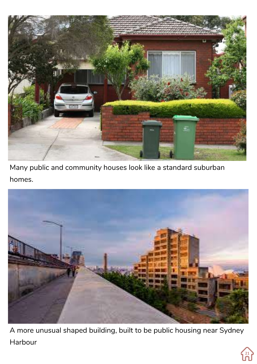

Many public and community houses look like a standard suburban homes.



A more unusual shaped building, built to be public housing near Sydney Harbour

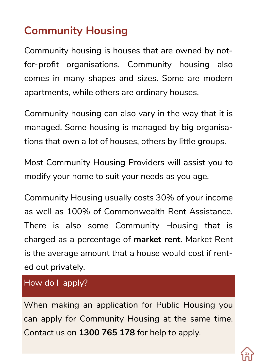# **Community Housing**

Community housing is houses that are owned by notfor-profit organisations. Community housing also comes in many shapes and sizes. Some are modern apartments, while others are ordinary houses.

Community housing can also vary in the way that it is managed. Some housing is managed by big organisations that own a lot of houses, others by little groups.

Most Community Housing Providers will assist you to modify your home to suit your needs as you age.

Community Housing usually costs 30% of your income as well as 100% of Commonwealth Rent Assistance. There is also some Community Housing that is charged as a percentage of **market rent**. Market Rent is the average amount that a house would cost if rented out privately.

How do I apply?

When making an application for Public Housing you can apply for Community Housing at the same time. Contact us on **1300 765 178** for help to apply.

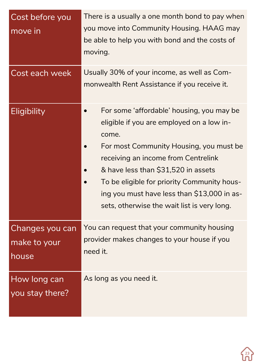| Cost before you<br>move in               | There is a usually a one month bond to pay when<br>you move into Community Housing. HAAG may<br>be able to help you with bond and the costs of<br>moving.                                                                                                                                                                                                             |
|------------------------------------------|-----------------------------------------------------------------------------------------------------------------------------------------------------------------------------------------------------------------------------------------------------------------------------------------------------------------------------------------------------------------------|
| Cost each week                           | Usually 30% of your income, as well as Com-<br>monwealth Rent Assistance if you receive it.                                                                                                                                                                                                                                                                           |
| Eligibility                              | For some 'affordable' housing, you may be<br>eligible if you are employed on a low in-<br>come.<br>For most Community Housing, you must be<br>receiving an income from Centrelink<br>& have less than \$31,520 in assets<br>To be eligible for priority Community hous-<br>ing you must have less than \$13,000 in as-<br>sets, otherwise the wait list is very long. |
| Changes you can<br>make to your<br>house | You can request that your community housing<br>provider makes changes to your house if you<br>need it.                                                                                                                                                                                                                                                                |
| How long can<br>you stay there?          | As long as you need it.                                                                                                                                                                                                                                                                                                                                               |

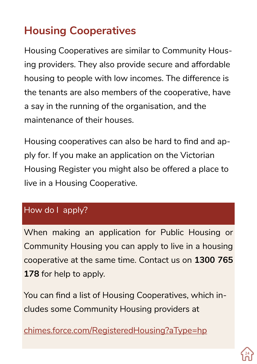# **Housing Cooperatives**

Housing Cooperatives are similar to Community Housing providers. They also provide secure and affordable housing to people with low incomes. The difference is the tenants are also members of the cooperative, have a say in the running of the organisation, and the maintenance of their houses.

Housing cooperatives can also be hard to find and apply for. If you make an application on the Victorian Housing Register you might also be offered a place to live in a Housing Cooperative.

#### How do I apply?

When making an application for Public Housing or Community Housing you can apply to live in a housing cooperative at the same time. Contact us on **1300 765 178** for help to apply.

You can find a list of Housing Cooperatives, which includes some Community Housing providers at

chimes.force.com/RegisteredHousing?aType=hp

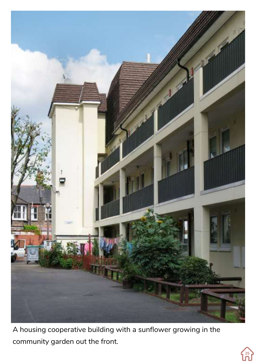

A housing cooperative building with a sunflower growing in the community garden out the front.

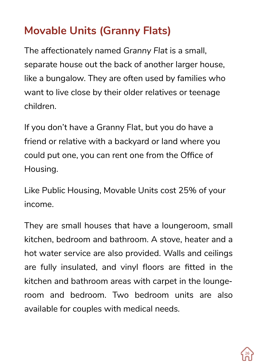### **Movable Units (Granny Flats)**

The affectionately named *Granny Flat* is a small, separate house out the back of another larger house, like a bungalow. They are often used by families who want to live close by their older relatives or teenage children.

If you don't have a Granny Flat, but you do have a friend or relative with a backyard or land where you could put one, you can rent one from the Office of Housing.

Like Public Housing, Movable Units cost 25% of your income.

They are small houses that have a loungeroom, small kitchen, bedroom and bathroom. A stove, heater and a hot water service are also provided. Walls and ceilings are fully insulated, and vinyl floors are fitted in the kitchen and bathroom areas with carpet in the loungeroom and bedroom. Two bedroom units are also available for couples with medical needs.

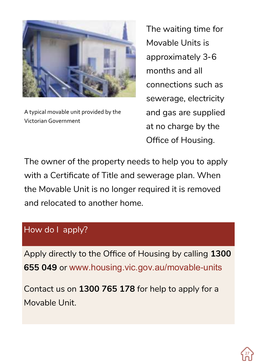

A typical movable unit provided by the Victorian Government

The waiting time for Movable Units is approximately 3-6 months and all connections such as sewerage, electricity and gas are supplied at no charge by the Office of Housing.

The owner of the property needs to help you to apply with a Certificate of Title and sewerage plan. When the Movable Unit is no longer required it is removed and relocated to another home.

#### How do I apply?

Apply directly to the Office of Housing by calling **1300 655 049** or www.housing.vic.gov.au/movable-units

Contact us on **1300 765 178** for help to apply for a Movable Unit.

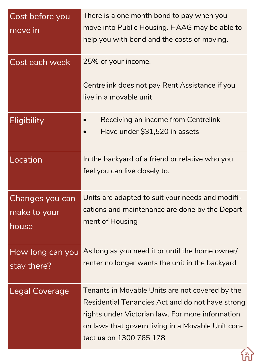| Cost before you<br>move in               | There is a one month bond to pay when you<br>move into Public Housing. HAAG may be able to<br>help you with bond and the costs of moving.                                                                                               |
|------------------------------------------|-----------------------------------------------------------------------------------------------------------------------------------------------------------------------------------------------------------------------------------------|
| Cost each week                           | 25% of your income.<br>Centrelink does not pay Rent Assistance if you<br>live in a movable unit                                                                                                                                         |
| Eligibility                              | Receiving an income from Centrelink                                                                                                                                                                                                     |
|                                          | Have under \$31,520 in assets                                                                                                                                                                                                           |
| Location                                 | In the backyard of a friend or relative who you<br>feel you can live closely to.                                                                                                                                                        |
| Changes you can<br>make to your<br>house | Units are adapted to suit your needs and modifi-<br>cations and maintenance are done by the Depart-<br>ment of Housing                                                                                                                  |
| How long can you<br>stay there?          | As long as you need it or until the home owner/<br>renter no longer wants the unit in the backyard                                                                                                                                      |
| Legal Coverage                           | Tenants in Movable Units are not covered by the<br>Residential Tenancies Act and do not have strong<br>rights under Victorian law. For more information<br>on laws that govern living in a Movable Unit con-<br>tact us on 1300 765 178 |
|                                          |                                                                                                                                                                                                                                         |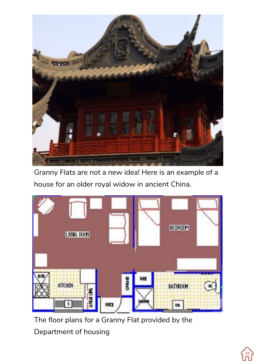

Granny Flats are not a new idea! Here is an example of a house for an older royal widow in ancient China.



The floor plans for a Granny Flat provided by the Department of housing

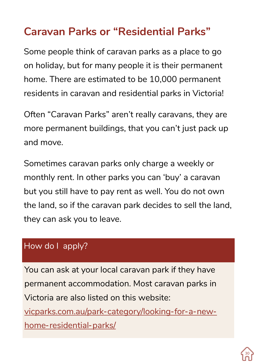#### **Caravan Parks or "Residential Parks"**

Some people think of caravan parks as a place to go on holiday, but for many people it is their permanent home. There are estimated to be 10,000 permanent residents in caravan and residential parks in Victoria!

Often "Caravan Parks" aren't really caravans, they are more permanent buildings, that you can't just pack up and move.

Sometimes caravan parks only charge a weekly or monthly rent. In other parks you can 'buy' a caravan but you still have to pay rent as well. You do not own the land, so if the caravan park decides to sell the land, they can ask you to leave.

#### How do I apply?

You can ask at your local caravan park if they have permanent accommodation. Most caravan parks in Victoria are also listed on this website: vicparks.com.au/park-category/looking-for-a-newhome-residential-parks/

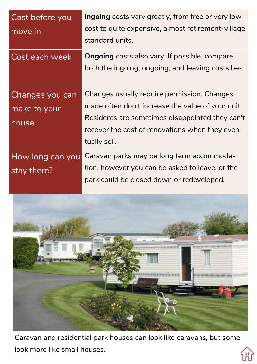| Cost before you<br>move in               | Ingoing costs vary greatly, from free or very low<br>cost to quite expensive, almost retirement-village<br>standard units.                                                                                             |
|------------------------------------------|------------------------------------------------------------------------------------------------------------------------------------------------------------------------------------------------------------------------|
| Cost each week                           | <b>Ongoing</b> costs also vary. If possible, compare<br>both the ingoing, ongoing, and leaving costs be-                                                                                                               |
| Changes you can<br>make to your<br>house | Changes usually require permission. Changes<br>made often don't increase the value of your unit.<br>Residents are sometimes disappointed they can't<br>recover the cost of renovations when they even-<br>tually sell. |
| How long can you<br>stay there?          | Caravan parks may be long term accommoda-<br>tion, however you can be asked to leave, or the<br>park could be closed down or redeveloped.                                                                              |



Caravan and residential park houses can look like caravans, but some look more like small houses.

(31)<br>โกโ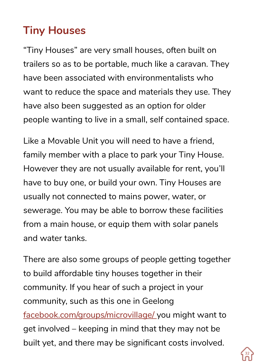# **Tiny Houses**

"Tiny Houses" are very small houses, often built on trailers so as to be portable, much like a caravan. They have been associated with environmentalists who want to reduce the space and materials they use. They have also been suggested as an option for older people wanting to live in a small, self contained space.

Like a Movable Unit you will need to have a friend, family member with a place to park your Tiny House. However they are not usually available for rent, you'll have to buy one, or build your own. Tiny Houses are usually not connected to mains power, water, or sewerage. You may be able to borrow these facilities from a main house, or equip them with solar panels and water tanks.

There are also some groups of people getting together to build affordable tiny houses together in their community. If you hear of such a project in your community, such as this one in Geelong facebook.com/groups/microvillage/ you might want to get involved – keeping in mind that they may not be built yet, and there may be significant costs involved.

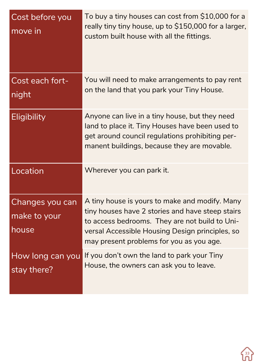| Cost before you<br>move in               | To buy a tiny houses can cost from \$10,000 for a<br>really tiny tiny house, up to \$150,000 for a larger,<br>custom built house with all the fittings.                                                                                             |
|------------------------------------------|-----------------------------------------------------------------------------------------------------------------------------------------------------------------------------------------------------------------------------------------------------|
| Cost each fort-<br>night                 | You will need to make arrangements to pay rent<br>on the land that you park your Tiny House.                                                                                                                                                        |
| Eligibility                              | Anyone can live in a tiny house, but they need<br>land to place it. Tiny Houses have been used to<br>get around council regulations prohibiting per-<br>manent buildings, because they are movable.                                                 |
| Location                                 | Wherever you can park it.                                                                                                                                                                                                                           |
| Changes you can<br>make to your<br>house | A tiny house is yours to make and modify. Many<br>tiny houses have 2 stories and have steep stairs<br>to access bedrooms. They are not build to Uni-<br>versal Accessible Housing Design principles, so<br>may present problems for you as you age. |
| How long can you<br>stay there?          | If you don't own the land to park your Tiny<br>House, the owners can ask you to leave.                                                                                                                                                              |

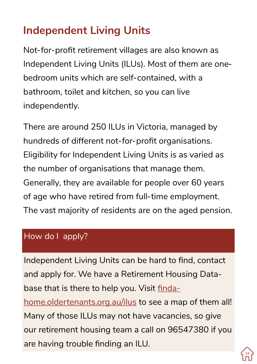# **Independent Living Units**

Not-for-profit retirement villages are also known as Independent Living Units (ILUs). Most of them are onebedroom units which are self-contained, with a bathroom, toilet and kitchen, so you can live independently.

There are around 250 ILUs in Victoria, managed by hundreds of different not-for-profit organisations. Eligibility for Independent Living Units is as varied as the number of organisations that manage them. Generally, they are available for people over 60 years of age who have retired from full-time employment. The vast majority of residents are on the aged pension.

#### How do I apply?

Independent Living Units can be hard to find, contact and apply for. We have a Retirement Housing Database that is there to help you. Visit findahome.oldertenants.org.au/ilus to see a map of them all! Many of those ILUs may not have vacancies, so give our retirement housing team a call on 96547380 if you are having trouble finding an ILU.

34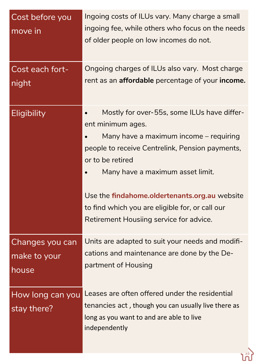| Cost before you<br>move in               | Ingoing costs of ILUs vary. Many charge a small<br>ingoing fee, while others who focus on the needs<br>of older people on low incomes do not.                                                                                                                                                                                                                        |
|------------------------------------------|----------------------------------------------------------------------------------------------------------------------------------------------------------------------------------------------------------------------------------------------------------------------------------------------------------------------------------------------------------------------|
| Cost each fort-<br>night                 | Ongoing charges of ILUs also vary. Most charge<br>rent as an <b>affordable</b> percentage of your <b>income.</b>                                                                                                                                                                                                                                                     |
| Eligibility                              | Mostly for over-55s, some ILUs have differ-<br>ent minimum ages.<br>Many have a maximum income – requiring<br>people to receive Centrelink, Pension payments,<br>or to be retired<br>Many have a maximum asset limit.<br>Use the findahome.oldertenants.org.au website<br>to find which you are eligible for, or call our<br>Retirement Housiing service for advice. |
| Changes you can<br>make to your<br>house | Units are adapted to suit your needs and modifi-<br>cations and maintenance are done by the De-<br>partment of Housing                                                                                                                                                                                                                                               |
| How long can you<br>stay there?          | Leases are often offered under the residential<br>tenancies act, though you can usually live there as<br>long as you want to and are able to live<br>independently                                                                                                                                                                                                   |

้าง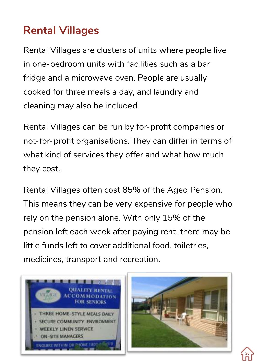### **Rental Villages**

Rental Villages are clusters of units where people live in one-bedroom units with facilities such as a bar fridge and a microwave oven. People are usually cooked for three meals a day, and laundry and cleaning may also be included.

Rental Villages can be run by for-profit companies or not-for-profit organisations. They can differ in terms of what kind of services they offer and what how much they cost..

Rental Villages often cost 85% of the Aged Pension. This means they can be very expensive for people who rely on the pension alone. With only 15% of the pension left each week after paying rent, there may be little funds left to cover additional food, toiletries, medicines, transport and recreation.





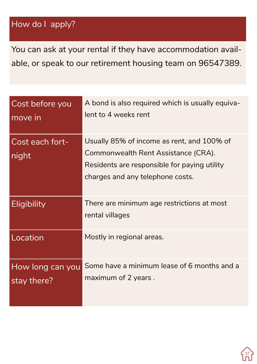#### How do I apply?

You can ask at your rental if they have accommodation available, or speak to our retirement housing team on 96547389.

| Cost before you<br>move in      | A bond is also required which is usually equiva-<br>lent to 4 weeks rent                                                                                              |
|---------------------------------|-----------------------------------------------------------------------------------------------------------------------------------------------------------------------|
| Cost each fort-<br>night        | Usually 85% of income as rent, and 100% of<br>Commonwealth Rent Assistance (CRA).<br>Residents are responsible for paying utility<br>charges and any telephone costs. |
| Eligibility                     | There are minimum age restrictions at most<br>rental villages                                                                                                         |
| Location                        | Mostly in regional areas.                                                                                                                                             |
| How long can you<br>stay there? | Some have a minimum lease of 6 months and a<br>maximum of 2 years.                                                                                                    |

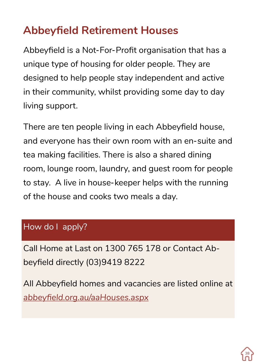# **Abbeyfield Retirement Houses**

Abbeyfield is a Not-For-Profit organisation that has a unique type of housing for older people. They are designed to help people stay independent and active in their community, whilst providing some day to day living support.

There are ten people living in each Abbeyfield house, and everyone has their own room with an en-suite and tea making facilities. There is also a shared dining room, lounge room, laundry, and guest room for people to stay. A live in house-keeper helps with the running of the house and cooks two meals a day.

#### How do I apply?

Call Home at Last on 1300 765 178 or Contact Abbeyfield directly (03)9419 8222

All Abbeyfield homes and vacancies are listed online at *abbeyfield.org.au/aaHouses.aspx*

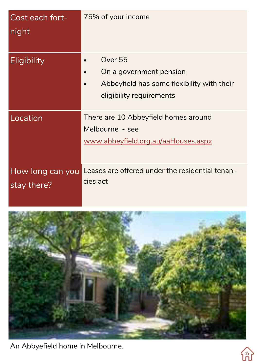| Cost each fort-<br>night        | 75% of your income                                                                                           |
|---------------------------------|--------------------------------------------------------------------------------------------------------------|
| Eligibility                     | Over 55<br>On a government pension<br>Abbeyfield has some flexibility with their<br>eligibility requirements |
| Location                        | There are 10 Abbeyfield homes around<br>Melbourne - see<br>www.abbeyfield.org.au/aaHouses.aspx               |
| How long can you<br>stay there? | Leases are offered under the residential tenan-<br>cies act                                                  |



An Abbyefield home in Melbourne.

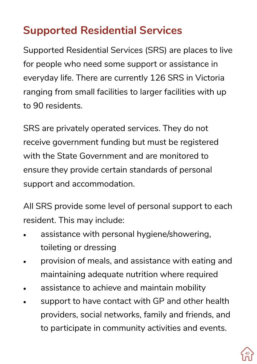## **Supported Residential Services**

Supported Residential Services (SRS) are places to live for people who need some support or assistance in everyday life. There are currently 126 SRS in Victoria ranging from small facilities to larger facilities with up to 90 residents.

SRS are privately operated services. They do not receive government funding but must be registered with the State Government and are monitored to ensure they provide certain standards of personal support and accommodation.

All SRS provide some level of personal support to each resident. This may include:

- assistance with personal hygiene/showering, toileting or dressing
- provision of meals, and assistance with eating and maintaining adequate nutrition where required
- assistance to achieve and maintain mobility
- support to have contact with GP and other health providers, social networks, family and friends, and to participate in community activities and events.

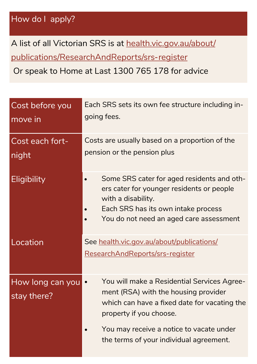A list of all Victorian SRS is at health.vic.gov.au/about/ publications/ResearchAndReports/srs-register

Or speak to Home at Last 1300 765 178 for advice

| Cost before you<br>move in      | Each SRS sets its own fee structure including in-<br>going fees.                                                                                                                                |
|---------------------------------|-------------------------------------------------------------------------------------------------------------------------------------------------------------------------------------------------|
| Cost each fort-<br>night        | Costs are usually based on a proportion of the<br>pension or the pension plus                                                                                                                   |
| Eligibility                     | Some SRS cater for aged residents and oth-<br>ers cater for younger residents or people<br>with a disability.<br>Each SRS has its own intake process<br>You do not need an aged care assessment |
| Location                        | See health.vic.gov.au/about/publications/<br>ResearchAndReports/srs-register                                                                                                                    |
| How long can you<br>stay there? | You will make a Residential Services Agree-<br>$\bullet$<br>ment (RSA) with the housing provider<br>which can have a fixed date for vacating the<br>property if you choose.                     |
|                                 | You may receive a notice to vacate under<br>the terms of your individual agreement.                                                                                                             |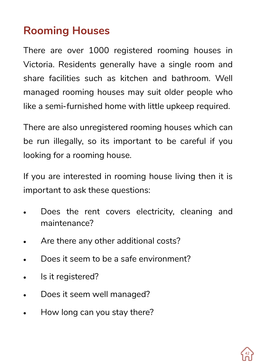## **Rooming Houses**

There are over 1000 registered rooming houses in Victoria. Residents generally have a single room and share facilities such as kitchen and bathroom. Well managed rooming houses may suit older people who like a semi-furnished home with little upkeep required.

There are also unregistered rooming houses which can be run illegally, so its important to be careful if you looking for a rooming house.

If you are interested in rooming house living then it is important to ask these questions:

- Does the rent covers electricity, cleaning and maintenance?
- Are there any other additional costs?
- Does it seem to be a safe environment?
- Is it registered?
- Does it seem well managed?
- How long can you stay there?

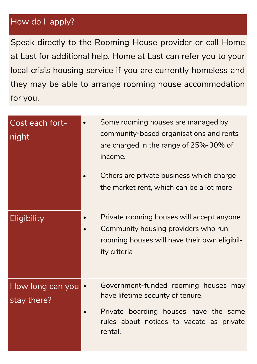#### How do I apply?

Speak directly to the Rooming House provider or call Home at Last for additional help. Home at Last can refer you to your local crisis housing service if you are currently homeless and they may be able to arrange rooming house accommodation for you.

| Cost each fort-<br>night        | Some rooming houses are managed by<br>community-based organisations and rents<br>are charged in the range of 25%-30% of<br>income.               |
|---------------------------------|--------------------------------------------------------------------------------------------------------------------------------------------------|
|                                 | Others are private business which charge<br>the market rent, which can be a lot more                                                             |
| Eligibility                     | Private rooming houses will accept anyone<br>Community housing providers who run<br>rooming houses will have their own eligibil-<br>ity criteria |
| How long can you<br>stay there? | Government-funded rooming houses may<br>have lifetime security of tenure.                                                                        |
|                                 | Private boarding houses have the same<br>rules about notices to vacate as private<br>rental.                                                     |